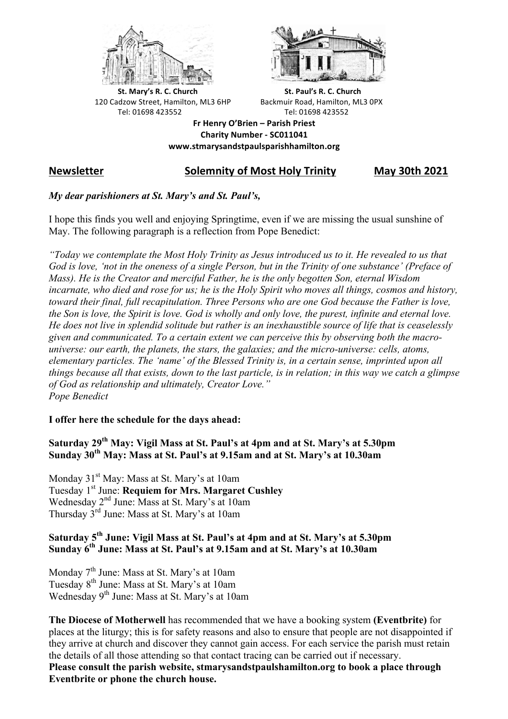



**St.** Mary's R. C. Church St. Paul's R. C. Church 120 Cadzow Street, Hamilton, ML3 6HP Backmuir Road, Hamilton, ML3 0PX Tel: 01698 423552 Tel: 01698 423552

**Fr Henry O'Brien – Parish Priest Charity Number - SC011041 www.stmarysandstpaulsparishhamilton.org**

# **Newsletter Solemnity of Most Holy Trinity May 30th 2021**

## *My dear parishioners at St. Mary's and St. Paul's,*

I hope this finds you well and enjoying Springtime, even if we are missing the usual sunshine of May. The following paragraph is a reflection from Pope Benedict:

*"Today we contemplate the Most Holy Trinity as Jesus introduced us to it. He revealed to us that God is love, 'not in the oneness of a single Person, but in the Trinity of one substance' (Preface of Mass). He is the Creator and merciful Father, he is the only begotten Son, eternal Wisdom incarnate, who died and rose for us; he is the Holy Spirit who moves all things, cosmos and history, toward their final, full recapitulation. Three Persons who are one God because the Father is love, the Son is love, the Spirit is love. God is wholly and only love, the purest, infinite and eternal love. He does not live in splendid solitude but rather is an inexhaustible source of life that is ceaselessly given and communicated. To a certain extent we can perceive this by observing both the macrouniverse: our earth, the planets, the stars, the galaxies; and the micro-universe: cells, atoms, elementary particles. The 'name' of the Blessed Trinity is, in a certain sense, imprinted upon all things because all that exists, down to the last particle, is in relation; in this way we catch a glimpse of God as relationship and ultimately, Creator Love." Pope Benedict*

### **I offer here the schedule for the days ahead:**

# **Saturday 29th May: Vigil Mass at St. Paul's at 4pm and at St. Mary's at 5.30pm Sunday 30th May: Mass at St. Paul's at 9.15am and at St. Mary's at 10.30am**

Monday 31<sup>st</sup> May: Mass at St. Mary's at 10am Tuesday 1st June: **Requiem for Mrs. Margaret Cushley** Wednesday 2<sup>nd</sup> June: Mass at St. Mary's at 10am Thursday 3rd June: Mass at St. Mary's at 10am

# **Saturday 5th June: Vigil Mass at St. Paul's at 4pm and at St. Mary's at 5.30pm Sunday 6th June: Mass at St. Paul's at 9.15am and at St. Mary's at 10.30am**

Monday 7<sup>th</sup> June: Mass at St. Mary's at 10am Tuesday 8<sup>th</sup> June: Mass at St. Mary's at 10am Wednesday 9<sup>th</sup> June: Mass at St. Mary's at 10am

**The Diocese of Motherwell** has recommended that we have a booking system **(Eventbrite)** for places at the liturgy; this is for safety reasons and also to ensure that people are not disappointed if they arrive at church and discover they cannot gain access. For each service the parish must retain the details of all those attending so that contact tracing can be carried out if necessary. **Please consult the parish website, stmarysandstpaulshamilton.org to book a place through Eventbrite or phone the church house.**